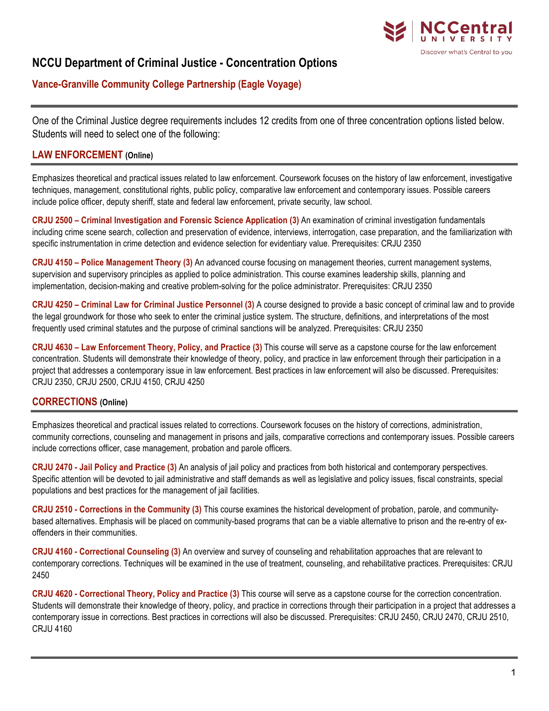

# **NCCU Department of Criminal Justice - Concentration Options**

## **Vance-Granville Community College Partnership (Eagle Voyage)**

One of the Criminal Justice degree requirements includes 12 credits from one of three concentration options listed below. Students will need to select one of the following:

#### **LAW ENFORCEMENT (Online)**

Emphasizes theoretical and practical issues related to law enforcement. Coursework focuses on the history of law enforcement, investigative techniques, management, constitutional rights, public policy, comparative law enforcement and contemporary issues. Possible careers include police officer, deputy sheriff, state and federal law enforcement, private security, law school.

**CRJU 2500 – Criminal Investigation and Forensic Science Application (3)** An examination of criminal investigation fundamentals including crime scene search, collection and preservation of evidence, interviews, interrogation, case preparation, and the familiarization with specific instrumentation in crime detection and evidence selection for evidentiary value. Prerequisites: CRJU 2350

**CRJU 4150 – Police Management Theory (3)** An advanced course focusing on management theories, current management systems, supervision and supervisory principles as applied to police administration. This course examines leadership skills, planning and implementation, decision-making and creative problem-solving for the police administrator. Prerequisites: CRJU 2350

**CRJU 4250 – Criminal Law for Criminal Justice Personnel (3)** A course designed to provide a basic concept of criminal law and to provide the legal groundwork for those who seek to enter the criminal justice system. The structure, definitions, and interpretations of the most frequently used criminal statutes and the purpose of criminal sanctions will be analyzed. Prerequisites: CRJU 2350

**CRJU 4630 – Law Enforcement Theory, Policy, and Practice (3)** This course will serve as a capstone course for the law enforcement concentration. Students will demonstrate their knowledge of theory, policy, and practice in law enforcement through their participation in a project that addresses a contemporary issue in law enforcement. Best practices in law enforcement will also be discussed. Prerequisites: CRJU 2350, CRJU 2500, CRJU 4150, CRJU 4250

### **CORRECTIONS (Online)**

Emphasizes theoretical and practical issues related to corrections. Coursework focuses on the history of corrections, administration, community corrections, counseling and management in prisons and jails, comparative corrections and contemporary issues. Possible careers include corrections officer, case management, probation and parole officers.

**CRJU 2470 - Jail Policy and Practice (3)** An analysis of jail policy and practices from both historical and contemporary perspectives. Specific attention will be devoted to jail administrative and staff demands as well as legislative and policy issues, fiscal constraints, special populations and best practices for the management of jail facilities.

**CRJU 2510 - Corrections in the Community (3)** This course examines the historical development of probation, parole, and communitybased alternatives. Emphasis will be placed on community-based programs that can be a viable alternative to prison and the re-entry of exoffenders in their communities.

**CRJU 4160 - Correctional Counseling (3)** An overview and survey of counseling and rehabilitation approaches that are relevant to contemporary corrections. Techniques will be examined in the use of treatment, counseling, and rehabilitative practices. Prerequisites: CRJU 2450

**CRJU 4620 - Correctional Theory, Policy and Practice (3)** This course will serve as a capstone course for the correction concentration. Students will demonstrate their knowledge of theory, policy, and practice in corrections through their participation in a project that addresses a contemporary issue in corrections. Best practices in corrections will also be discussed. Prerequisites: CRJU 2450, CRJU 2470, CRJU 2510, CRJU 4160